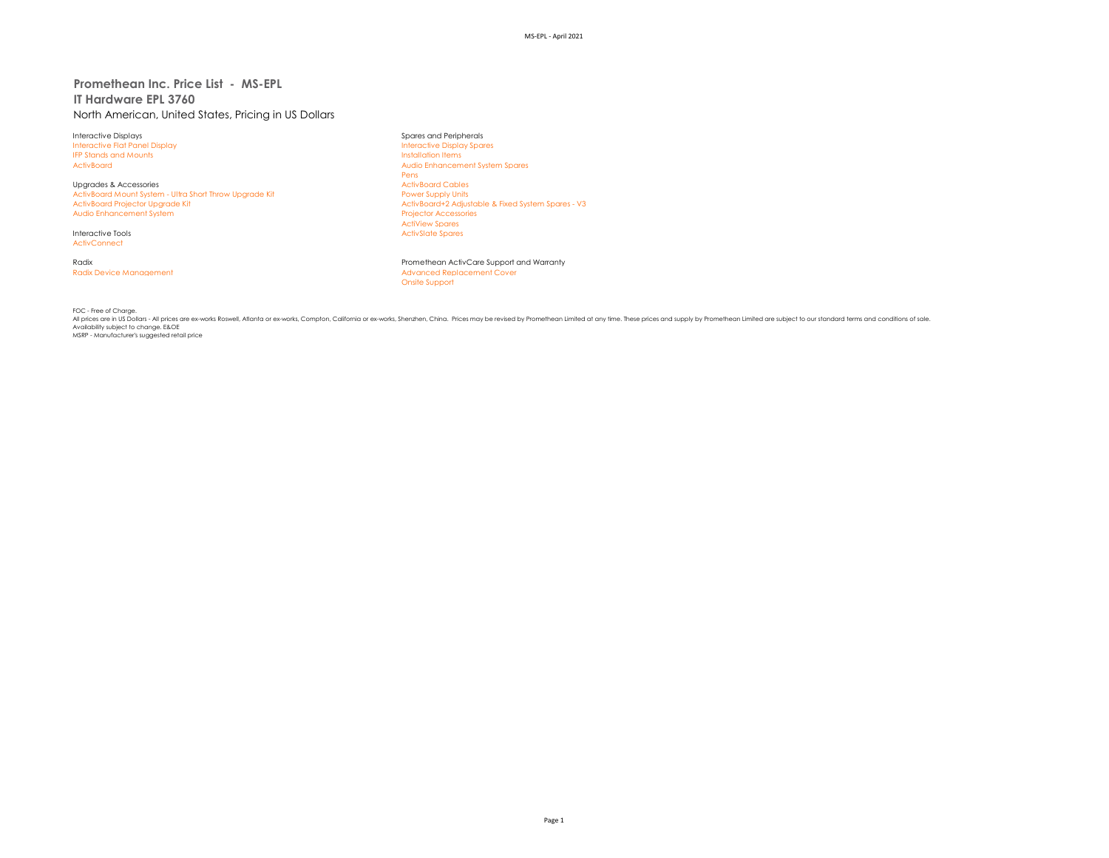# **Promethean Inc. Price List - MS-EPL IT Hardware EPL 3760** North American, United States, Pricing in US Dollars

Interactive Displays Spares and Peripherals Interactive Flat Panel Display IFP Stands and Mounts **IFP Stands and Mounts** 

Upgrades & Accessories<br>
ActivBoard Mount System - Ultra Short Throw Upgrade Kit Marketing and Marketing Power Supply Units ActivBoard Mount System - Ultra Short Throw Upgrade Kit<br>ActivBoard Proiector Uparade Kit Audio Enhancement System

**ActivConnect** 

ActivBoard Audio Enhancement System Spares Pens<br>ActivBoard Cables ActivBoard+2 Adjustable & Fixed System Spares - V3<br>Projector Accessories ActiView Spares Interactive Tools **ActivSlate Spares** ActivSlate Spares ActivSlate Spares

Radix Promethean ActivCare Support and Warranty Radix Device Management **Advanced Replacement Cover** Onsite Support

FOC - Free of Charge.

All prices are in US Dollars - All prices are ex-works Roswell, Atlanta or ex-works, Compton, California or ex-works, Shenzhen, China. Prices may be revised by Promethean Limited at any time. These prices and supply by Pro Availability subject to change. E&OE MSRP - Manufacturer's suggested retail price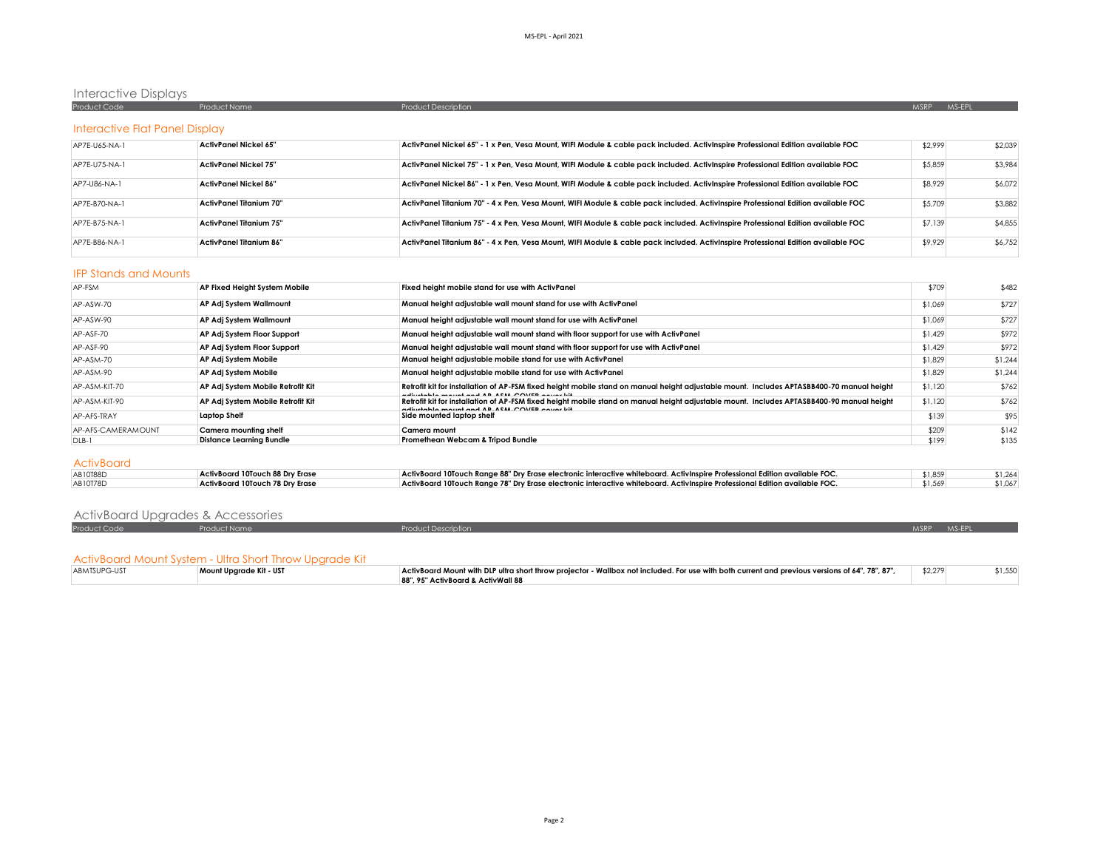# Interactive Displays

| Product Code                          | Product Name | <b>Product Description</b> | MS-EPL<br><b>MSRP</b> |
|---------------------------------------|--------------|----------------------------|-----------------------|
|                                       |              |                            |                       |
| <b>Interactive Flat Panel Display</b> |              |                            |                       |
|                                       | .            |                            | .<br>.                |

| AP7E-U65-NA-1 | ActivPanel Nickel 65"          | ActivPanel Nickel 65" - 1 x Pen, Vesa Mount, WIFI Module & cable pack included. ActivInspire Professional Edition available FOC   | \$2.999 | \$2.039 |
|---------------|--------------------------------|-----------------------------------------------------------------------------------------------------------------------------------|---------|---------|
| AP7E-U75-NA-1 | ActivPanel Nickel 75"          | ActivPanel Nickel 75" - 1 x Pen, Vesa Mount, WIFI Module & cable pack included. ActivInspire Professional Edition available FOC   | \$5,859 | \$3,984 |
| AP7-U86-NA-1  | ActivPanel Nickel 86"          | ActivPanel Nickel 86" - 1 x Pen, Vesa Mount, WIFI Module & cable pack included. ActivInspire Professional Edition available FOC   | \$8,929 | \$6,072 |
| AP7F-B70-NA-1 | ActivPanel Titanium 70"        | ActivPanel Titanium 70" - 4 x Pen, Vesa Mount, WIFI Module & cable pack included. ActivInspire Professional Edition available FOC | \$5,709 | \$3,882 |
| AP7E-B75-NA-1 | <b>ActivPanel Titanium 75"</b> | ActivPanel Titanium 75" - 4 x Pen. Vesa Mount. WIFI Module & cable pack included. ActivInspire Professional Edition available FOC | \$7,139 | \$4,855 |
| AP7E-B86-NA-1 | <b>ActivPanel Titanium 86"</b> | ActivPanel Titanium 86" - 4 x Pen, Vesa Mount, WIFI Module & cable pack included. ActivInspire Professional Edition available FOC | \$9,929 | \$6,752 |

#### IFP Stands and Mounts

| AP-FSM             | AP Fixed Height System Mobile     | Fixed height mobile stand for use with ActivPanel                                                                                                                                              | \$709   | \$482   |
|--------------------|-----------------------------------|------------------------------------------------------------------------------------------------------------------------------------------------------------------------------------------------|---------|---------|
| AP-ASW-70          | AP Adj System Wallmount           | Manual height adjustable wall mount stand for use with ActivPanel                                                                                                                              | \$1,069 | \$727   |
| AP-ASW-90          | AP Adj System Wallmount           | Manual height adjustable wall mount stand for use with ActivPanel                                                                                                                              | \$1,069 | \$727   |
| AP-ASF-70          | AP Adj System Floor Support       | Manual height adjustable wall mount stand with floor support for use with ActivPanel                                                                                                           | \$1,429 | \$972   |
| AP-ASF-90          | AP Adj System Floor Support       | Manual height adjustable wall mount stand with floor support for use with ActivPanel                                                                                                           | \$1,429 | \$972   |
| AP-ASM-70          | AP Adj System Mobile              | Manual height adjustable mobile stand for use with ActivPanel                                                                                                                                  | \$1,829 | \$1,244 |
| AP-ASM-90          | AP Adj System Mobile              | Manual height adjustable mobile stand for use with ActivPanel                                                                                                                                  | \$1,829 | \$1,244 |
| AP-ASM-KIT-70      | AP Adj System Mobile Retrofit Kit | Retrofit kit for installation of AP-FSM fixed height mobile stand on manual height adjustable mount. Includes APTASBB400-70 manual height<br>edisatelele maximi enal AB ACIA COMER excess lift | \$1,120 | \$762   |
| AP-ASM-KIT-90      | AP Adj System Mobile Retrofit Kit | Retrofit kit for installation of AP-FSM fixed height mobile stand on manual height adjustable mount. Includes APTASBB400-90 manual height<br>calludada associada da AB ABIA COMER a suas lill  | \$1,120 | \$762   |
| AP-AFS-TRAY        | <b>Laptop Shelf</b>               | Side mounted laptop shelf                                                                                                                                                                      | \$139   | \$95    |
| AP-AFS-CAMERAMOUNT | Camera mountina shelf             | Camera mount                                                                                                                                                                                   | \$209   | \$142   |
| DLB-1              | <b>Distance Learning Bundle</b>   | Promethean Webcam & Tripod Bundle                                                                                                                                                              | \$199   | \$135   |
| <b>ActivBoard</b>  |                                   |                                                                                                                                                                                                |         |         |
| AB10T88D           | ActivBoard 10Touch 88 Dry Erase   | ActivBoard 10Touch Range 88" Dry Erase electronic interactive whiteboard. ActivInspire Professional Edition available FOC.                                                                     | \$1,859 | \$1,264 |
| AB10T78D           | ActivBoard 10Touch 78 Dry Erase   | ActivBoard 10Touch Range 78" Dry Erase electronic interactive whiteboard. ActivInspire Professional Edition available FOC.                                                                     | \$1,569 | \$1,067 |

| <b>ActivBoard Upgrades &amp; Accessories</b> |                     |                            |             |  |
|----------------------------------------------|---------------------|----------------------------|-------------|--|
| Product Code                                 | <b>Product Name</b> | <b>Product Description</b> | MSRP MS-EPL |  |

#### ActivBoard Mount System - Ultra Short Throw Upgrade Kit

| ABMTSUPG-UST | Mount Upgrade Kit - UST | ActivBoard Mount with DLP ultra short throw projector - Wallbox not included. For use with both current and previous versions of 64", 78", 87", | \$2,279 |  |
|--------------|-------------------------|-------------------------------------------------------------------------------------------------------------------------------------------------|---------|--|
|              |                         | 88", 95" ActivBoard & ActivWall 88                                                                                                              |         |  |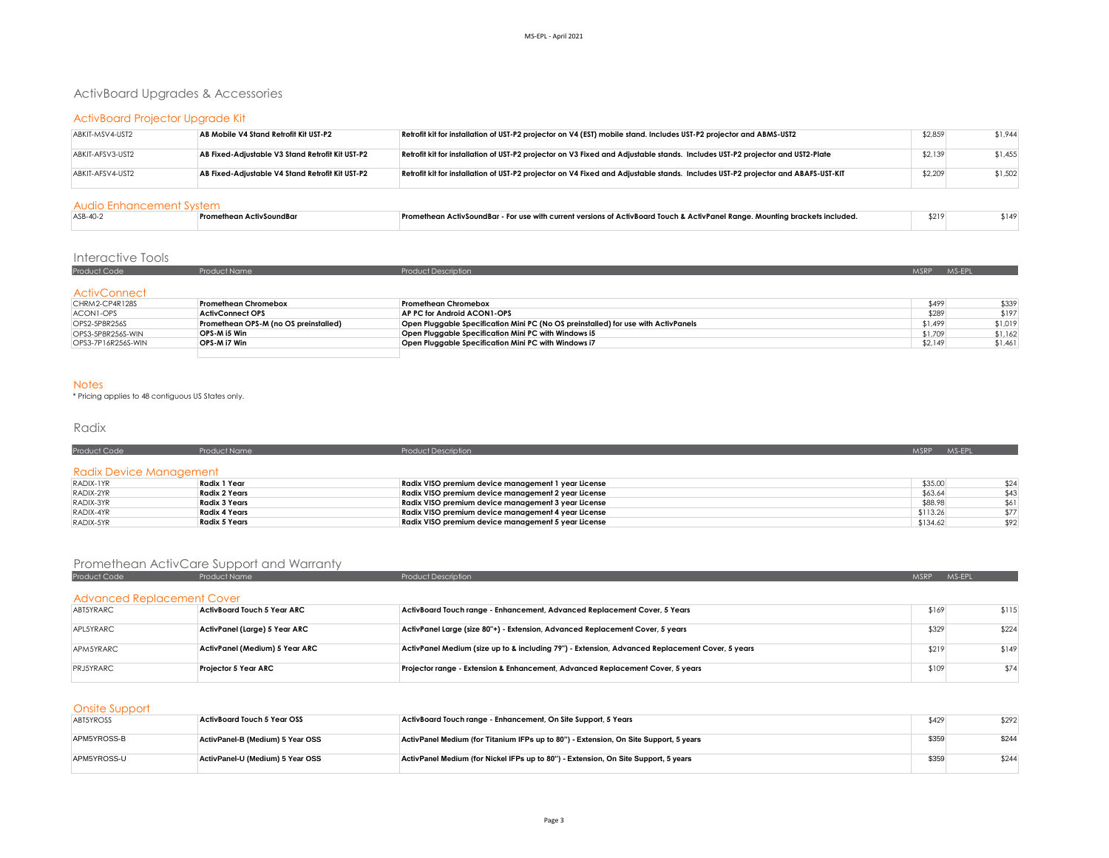# ActivBoard Upgrades & Accessories

# ActivBoard Projector Upgrade Kit

| ABKIT-MSV4-UST2  | AB Mobile V4 Stand Retrofit Kit UST-P2           | Retrofit kit for installation of UST-P2 projector on V4 (EST) mobile stand. Includes UST-P2 projector and ABMS-UST2              | \$2,859 | \$1,944 |
|------------------|--------------------------------------------------|----------------------------------------------------------------------------------------------------------------------------------|---------|---------|
| ABKIT-AFSV3-UST2 | AB Fixed-Adiustable V3 Stand Retrofit Kit UST-P2 | Retrofit kit for installation of UST-P2 projector on V3 Fixed and Adjustable stands. Includes UST-P2 projector and UST2-Plate    | \$2,139 | \$1,455 |
| ABKIT-AFSV4-UST2 | AB Fixed-Adiustable V4 Stand Retrofit Kit UST-P2 | Retrofit kit for installation of UST-P2 projector on V4 Fixed and Adjustable stands. Includes UST-P2 projector and ABAFS-UST-KIT | \$2,209 | \$1,502 |

#### Audio Enhancement System

| ASB-40-3 | Promethean ActivSoundBar | n ActivSoundBar - For use with current versions of ActivBoard Touch & ActivPanel Range. Mounting brackets included. | \$219 | 5140 |  |  |  |  |
|----------|--------------------------|---------------------------------------------------------------------------------------------------------------------|-------|------|--|--|--|--|
|          |                          |                                                                                                                     |       |      |  |  |  |  |

# Interactive Tools

| Product Code                                                                                                                           | Product Name | ____ | MSRP MS-EPL |  |
|----------------------------------------------------------------------------------------------------------------------------------------|--------------|------|-------------|--|
|                                                                                                                                        |              |      |             |  |
| <b>ActivConnect</b><br>the contract of the contract of the contract of the contract of the contract of the contract of the contract of |              |      |             |  |

| Promethean Chromebox<br>Promethean Chromebox<br>\$499<br>CHRM2-CP4R128S                                                                                 | \$339   |
|---------------------------------------------------------------------------------------------------------------------------------------------------------|---------|
| \$289<br>ACON1-OPS<br>AP PC for Android ACON1-OPS<br>ActivConnect OPS                                                                                   | \$197   |
| Open Pluggable Specification Mini PC (No OS preinstalled) for use with ActivPanels<br>Promethean OPS-M (no OS preinstalled)<br>\$1,499<br>OPS2-5P8R256S | \$1,019 |
| Open Pluggable Specification Mini PC with Windows i5<br>OPS-M i5 Win<br>\$1,709<br>OPS3-5P8R256S-WIN                                                    | \$1.162 |
| OPS-M i7 Win<br>Open Pluggable Specification Mini PC with Windows i7<br>\$2.149<br>OPS3-7P16R256S-WIN                                                   | \$1,461 |
|                                                                                                                                                         |         |

#### Notes

\* Pricing applies to 48 contiguous US States only.

## Radix

| Product Code            | <b>Product Name</b>  | <b>Product Description</b>                          | MS-EPL<br>MSRP <sup>1</sup> |
|-------------------------|----------------------|-----------------------------------------------------|-----------------------------|
| Radix Device Management |                      |                                                     |                             |
| RADIX-1YR               | Radix 1 Year         | Radix VISO premium device management 1 year License | \$35.00<br>\$24             |
| RADIX-2YR               | <b>Radix 2 Years</b> | Radix VISO premium device management 2 year License | \$63.64<br>\$43             |
| RADIX-3YR               | <b>Radix 3 Years</b> | Radix VISO premium device management 3 year License | \$88.98<br>\$61             |
| RADIX-4YR               | Radix 4 Years        | Radix VISO premium device management 4 year License | \$113.26<br>\$77            |
| RADIX-5YR               | Radix 5 Years        | Radix VISO premium device management 5 year License | \$134.62<br>\$92            |

# Promethean ActivCare Support and Warranty

| Product Code                      | <b>Product Name</b>            | <b>Product Description</b>                                                                      | <b>MSRP</b> | MS-EPL |
|-----------------------------------|--------------------------------|-------------------------------------------------------------------------------------------------|-------------|--------|
| <b>Advanced Replacement Cover</b> |                                |                                                                                                 |             |        |
| ABT5YRARC                         | ActivBoard Touch 5 Year ARC    | ActivBoard Touch range - Enhancement, Advanced Replacement Cover, 5 Years                       | \$169       | \$115  |
| APL5YRARC                         | ActivPanel (Large) 5 Year ARC  | ActivPanel Large (size 80"+) - Extension, Advanced Replacement Cover, 5 years                   | \$329       | \$224  |
| APM5YRARC                         | ActivPanel (Medium) 5 Year ARC | ActivPanel Medium (size up to & including 79") - Extension, Advanced Replacement Cover, 5 years | \$219       | \$149  |
| PRJ5YRARC                         | <b>Projector 5 Year ARC</b>    | Projector range - Extension & Enhancement, Advanced Replacement Cover, 5 years                  | \$109       | \$74   |

## Onsite Support

| ABT5YROSS   | ActivBoard Touch 5 Year OSS      | ActivBoard Touch range - Enhancement, On Site Support, 5 Years                        | \$429 | \$292 |
|-------------|----------------------------------|---------------------------------------------------------------------------------------|-------|-------|
| APM5YROSS-B | ActivPanel-B (Medium) 5 Year OSS | ActivPanel Medium (for Titanium IFPs up to 80") - Extension, On Site Support, 5 years | \$359 | \$244 |
| APM5YROSS-U | ActivPanel-U (Medium) 5 Year OSS | ActivPanel Medium (for Nickel IFPs up to 80") - Extension, On Site Support, 5 years   | \$359 | \$244 |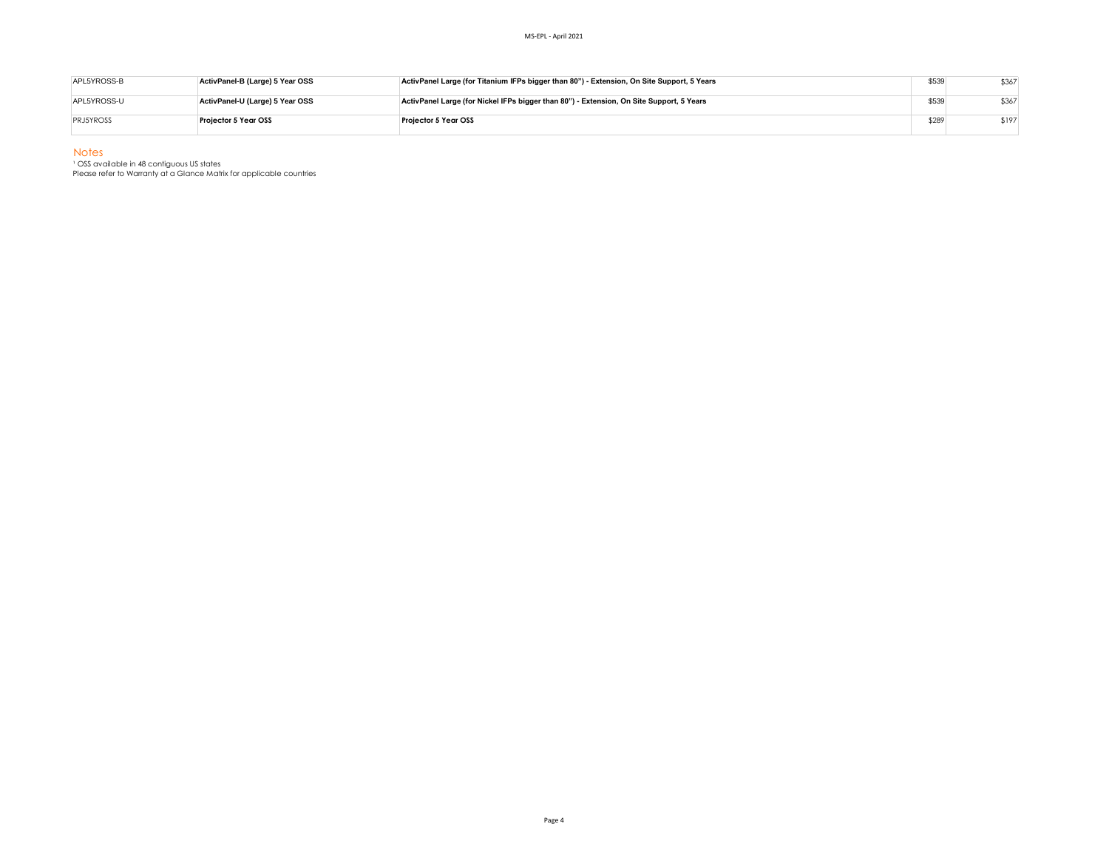| APL5YROSS-B      | ActivPanel-B (Large) 5 Year OSS | ActivPanel Large (for Titanium IFPs bigger than 80") - Extension, On Site Support, 5 Years | \$539 | \$367 |
|------------------|---------------------------------|--------------------------------------------------------------------------------------------|-------|-------|
| APL5YROSS-U      | ActivPanel-U (Large) 5 Year OSS | ActivPanel Large (for Nickel IFPs bigger than 80") - Extension, On Site Support, 5 Years   | \$539 | \$367 |
| <b>PRJ5YROSS</b> | Proiector 5 Year OSS            | <b>Projector 5 Year OSS</b>                                                                | \$289 | \$197 |

Notes

<sup>1</sup> OSS available in 48 contiguous US states

Please refer to Warranty at a Glance Matrix for applicable countries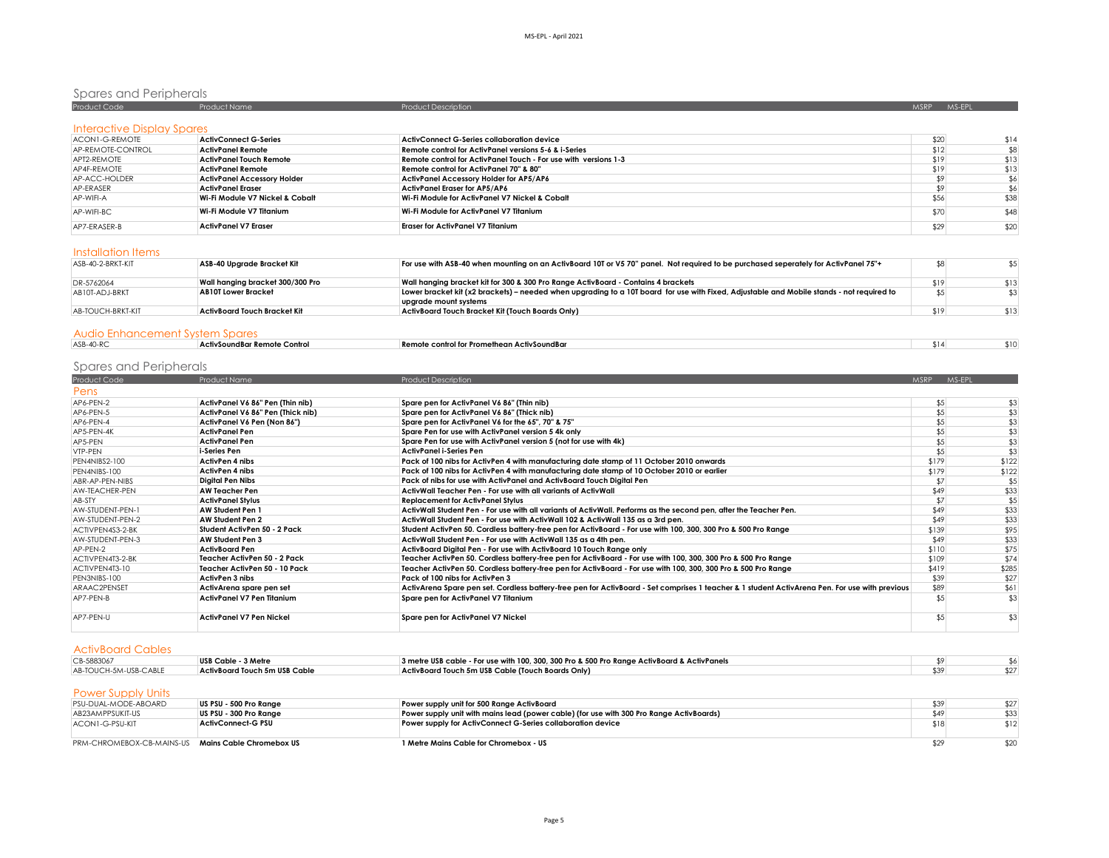# Spares and Peripherals

| Product Code                      | <b>Product Name</b>                | <b>Product Description</b>                                      | <b>MSRP</b> | MS-EPL |
|-----------------------------------|------------------------------------|-----------------------------------------------------------------|-------------|--------|
| <b>Interactive Display Spares</b> |                                    |                                                                 |             |        |
| ACON1-G-REMOTE                    | ActivConnect G-Series              | ActivConnect G-Series collaboration device                      | \$20        | \$14   |
| AP-REMOTE-CONTROL                 | <b>ActivPanel Remote</b>           | Remote control for ActivPanel versions 5-6 & i-Series           | \$12        | \$8    |
| APT2-REMOTE                       | ActivPanel Touch Remote            | Remote control for ActivPanel Touch - For use with versions 1-3 | \$19        | \$13   |
| AP4F-REMOTE                       | <b>ActivPanel Remote</b>           | Remote control for ActivPanel 70" & 80"                         | \$19        | \$13   |
| AP-ACC-HOLDER                     | <b>ActivPanel Accessory Holder</b> | <b>ActivPanel Accessory Holder for AP5/AP6</b>                  |             | \$6    |
| AP-ERASER                         | ActivPanel Eraser                  | <b>ActivPanel Eraser for AP5/AP6</b>                            |             | \$6    |
| AP-WIFI-A                         | Wi-Fi Module V7 Nickel & Cobalt    | Wi-Fi Module for ActivPanel V7 Nickel & Cobalt                  | \$56        | \$38   |
| AP-WIFI-BC                        | Wi-Fi Module V7 Titanium           | Wi-Fi Module for ActivPanel V7 Titanium                         | \$70        | \$48   |
| AP7-ERASER-B                      | ActivPanel V7 Eraser               | <b>Eraser for ActivPanel V7 Titanium</b>                        | \$29        | \$20   |

## Installation Items

| ASB-40-2-BRKT-KIT | ASB-40 Upgrade Bracket Kit       | For use with ASB-40 when mounting on an ActivBoard 10T or V5 70" panel. Not required to be purchased seperately for ActivPanel 75"+                                |      |      |
|-------------------|----------------------------------|--------------------------------------------------------------------------------------------------------------------------------------------------------------------|------|------|
| DR-5762064        | Wall hanging bracket 300/300 Pro | Wall hanging bracket kit for 300 & 300 Pro Range ActivBoard - Contains 4 brackets                                                                                  | \$19 | \$13 |
| AB10T-ADJ-BRKT    | <b>AB10T Lower Bracket</b>       | Lower bracket kit (x2 brackets) – needed when upgrading to a 10T board for use with Fixed, Adjustable and Mobile stands - not required to<br>uparade mount systems | \$5  |      |
| AB-TOUCH-BRKT-KIT | ActivBoard Touch Bracket Kit     | ActivBoard Touch Bracket Kit (Touch Boards Only)                                                                                                                   | \$19 | \$13 |
|                   |                                  |                                                                                                                                                                    |      |      |

## Audio Enhancement System Spares

| $ASR-40-R$ | ActivSoundBar Remote Control | control for Promethean ActivSoundBar<br><b>KAM</b><br>. . | \$11 | . |
|------------|------------------------------|-----------------------------------------------------------|------|---|
|            |                              |                                                           |      |   |

# Spares and Peripherals

| Product Code     | Product Name                      | <b>Product Description</b>                                                                                                                     | <b>MSRP</b> | MS-EPL |
|------------------|-----------------------------------|------------------------------------------------------------------------------------------------------------------------------------------------|-------------|--------|
| Pens             |                                   |                                                                                                                                                |             |        |
| AP6-PEN-2        | ActivPanel V6 86" Pen (Thin nib)  | Spare pen for ActivPanel V6 86" (Thin nib)                                                                                                     | \$5         | \$3    |
| AP6-PEN-5        | ActivPanel V6 86" Pen (Thick nib) | Spare pen for ActivPanel V6 86" (Thick nib)                                                                                                    | \$5         | \$3    |
| AP6-PEN-4        | ActivPanel V6 Pen (Non 86")       | Spare pen for ActivPanel V6 for the 65", 70" & 75"                                                                                             | \$5         | \$3    |
| AP5-PEN-4K       | <b>ActivPanel Pen</b>             | Spare Pen for use with ActivPanel version 5 4k only                                                                                            | \$5         | \$3    |
| AP5-PEN          | <b>ActivPanel Pen</b>             | Spare Pen for use with ActivPanel version 5 (not for use with 4k)                                                                              | \$5         | \$3    |
| VTP-PEN          | i-Series Pen                      | <b>ActivPanel i-Series Pen</b>                                                                                                                 | \$5         | \$3    |
| PEN4NIBS2-100    | ActivPen 4 nibs                   | Pack of 100 nibs for ActivPen 4 with manufacturing date stamp of 11 October 2010 onwards                                                       | \$179       | \$122  |
| PEN4NIBS-100     | <b>ActivPen 4 nibs</b>            | Pack of 100 nibs for ActivPen 4 with manufacturing date stamp of 10 October 2010 or earlier                                                    | \$179       | \$122  |
| ABR-AP-PEN-NIBS  | Digital Pen Nibs                  | Pack of nibs for use with ActivPanel and ActivBoard Touch Digital Pen                                                                          | \$7         | \$5    |
| AW-TEACHER-PEN   | <b>AW Teacher Pen</b>             | ActivWall Teacher Pen - For use with all variants of ActivWall                                                                                 | \$49        | \$33   |
| AB-STY           | <b>ActivPanel Stylus</b>          | <b>Replacement for ActivPanel Stylus</b>                                                                                                       | \$7         | \$5    |
| AW-STUDENT-PEN-1 | <b>AW Student Pen 1</b>           | ActivWall Student Pen - For use with all variants of ActivWall. Performs as the second pen, after the Teacher Pen.                             | \$49        | \$33   |
| AW-STUDENT-PEN-2 | AW Student Pen 2                  | ActivWall Student Pen - For use with ActivWall 102 & ActivWall 135 as a 3rd pen.                                                               | \$49        | \$33   |
| ACTIVPEN4S3-2-BK | Student ActivPen 50 - 2 Pack      | Student ActivPen 50. Cordless battery-free pen for ActivBoard - For use with 100, 300, 300 Pro & 500 Pro Range                                 | \$139       | \$95   |
| AW-STUDENT-PEN-3 | <b>AW Student Pen 3</b>           | ActivWall Student Pen - For use with ActivWall 135 as a 4th pen.                                                                               | \$49        | \$33   |
| AP-PEN-2         | <b>ActivBoard Pen</b>             | ActivBoard Digital Pen - For use with ActivBoard 10 Touch Range only                                                                           | \$110       | \$75   |
| ACTIVPEN4T3-2-BK | Teacher ActivPen 50 - 2 Pack      | Teacher ActivPen 50. Cordless battery-free pen for ActivBoard - For use with 100, 300, 300 Pro & 500 Pro Range                                 | \$109       | \$74   |
| ACTIVPEN4T3-10   | Teacher ActivPen 50 - 10 Pack     | Teacher ActivPen 50. Cordless battery-free pen for ActivBoard - For use with 100, 300, 300 Pro & 500 Pro Range                                 | \$419       | \$285  |
| PEN3NIBS-100     | ActivPen 3 nibs                   | Pack of 100 nibs for ActivPen 3                                                                                                                | \$39        | \$27   |
| ARAAC2PENSET     | ActivArena spare pen set          | ActivArena Spare pen set. Cordless battery-free pen for ActivBoard - Set comprises 1 teacher & 1 student ActivArena Pen. For use with previous | \$89        | \$61   |
| AP7-PFN-B        | <b>ActivPanel V7 Pen Titanium</b> | Spare pen for ActivPanel V7 Titanium                                                                                                           | \$5         | \$3    |
| AP7-PEN-U        | <b>ActivPanel V7 Pen Nickel</b>   | Spare pen for ActivPanel V7 Nickel                                                                                                             | \$5         | \$3    |

## ActivBoard Cables

| CB-5883067            | USB Cable - 3 Metre           | 3 metre USB cable - For use with 100, 300, 300 Pro & 500 Pro Range ActivBoard & ActivPanels |  |
|-----------------------|-------------------------------|---------------------------------------------------------------------------------------------|--|
| AB-TOUCH-5M-USB-CABLE | ActivBoard Touch 5m USB Cable | ActivBoard Touch 5m USB Cable (Touch Boards Only)                                           |  |
|                       |                               |                                                                                             |  |

# Power Supply Units

| PSU-DUAL-MODE-ABOARD                               | US PSU - 500 Pro Range | Power supply unit for 500 Range ActivBoard                                               | \$39 | \$27 |
|----------------------------------------------------|------------------------|------------------------------------------------------------------------------------------|------|------|
| AB23AMPPSUKIT-US                                   | US PSU - 300 Pro Range | Power supply unit with mains lead (power cable) (for use with 300 Pro Range ActivBoards) |      | \$33 |
| ACON1-G-PSU-KIT                                    | ActivConnect-G PSU     | Power supply for ActivConnect G-Series collaboration device                              |      |      |
|                                                    |                        |                                                                                          |      |      |
| PRM-CHROMEBOX-CB-MAINS-US Mains Cable Chromebox US |                        | 1 Metre Mains Cable for Chromebox - US                                                   |      | \$20 |